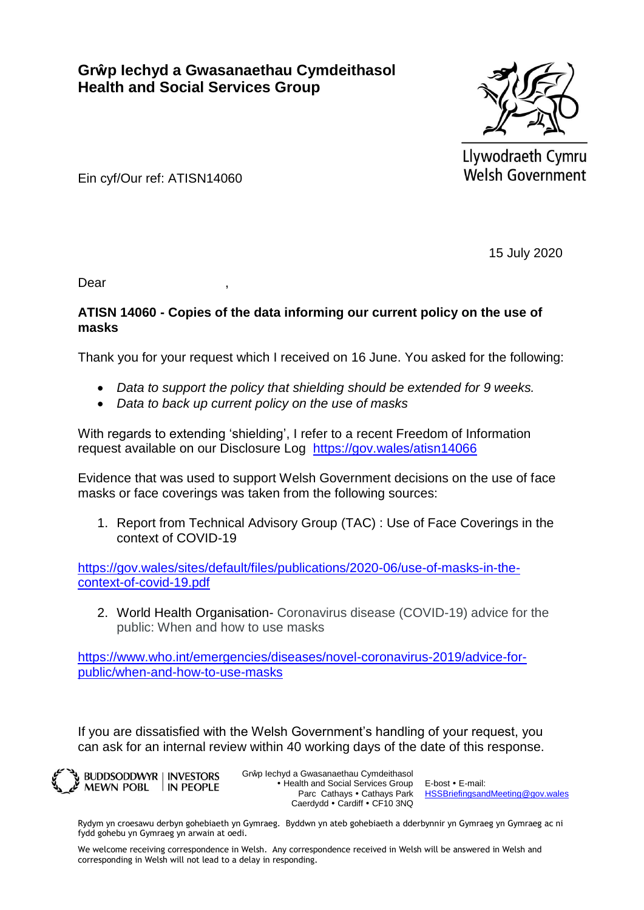**Grŵp Iechyd a Gwasanaethau Cymdeithasol Health and Social Services Group**



Llywodraeth Cymru **Welsh Government** 

Ein cyf/Our ref: ATISN14060

15 July 2020

Dear ,

## **ATISN 14060 - Copies of the data informing our current policy on the use of masks**

Thank you for your request which I received on 16 June. You asked for the following:

- *Data to support the policy that shielding should be extended for 9 weeks.*
- *Data to back up current policy on the use of masks*

With regards to extending 'shielding', I refer to a recent Freedom of Information request available on our Disclosure Log <https://gov.wales/atisn14066>

Evidence that was used to support Welsh Government decisions on the use of face masks or face coverings was taken from the following sources:

1. Report from Technical Advisory Group (TAC) : Use of Face Coverings in the context of COVID-19

[https://gov.wales/sites/default/files/publications/2020-06/use-of-masks-in-the](https://gov.wales/sites/default/files/publications/2020-06/use-of-masks-in-the-context-of-covid-19.pdf)[context-of-covid-19.pdf](https://gov.wales/sites/default/files/publications/2020-06/use-of-masks-in-the-context-of-covid-19.pdf)

2. World Health Organisation- Coronavirus disease (COVID-19) advice for the public: When and how to use masks

[https://www.who.int/emergencies/diseases/novel-coronavirus-2019/advice-for](https://www.who.int/emergencies/diseases/novel-coronavirus-2019/advice-for-public/when-and-how-to-use-masks)[public/when-and-how-to-use-masks](https://www.who.int/emergencies/diseases/novel-coronavirus-2019/advice-for-public/when-and-how-to-use-masks)

If you are dissatisfied with the Welsh Government's handling of your request, you can ask for an internal review within 40 working days of the date of this response.

**BUDDSODDWYR | INVESTORS** MEWN POBL IN PEOPLE Grŵp Iechyd a Gwasanaethau Cymdeithasol • Health and Social Services Group Parc Cathays • Cathays Park Caerdydd · Cardiff · CF10 3NQ

E-bost E-mail: [HSSBriefingsandMeeting@gov.wales](mailto:HSSBriefingsandMeeting@gov.wales)

Rydym yn croesawu derbyn gohebiaeth yn Gymraeg. Byddwn yn ateb gohebiaeth a dderbynnir yn Gymraeg yn Gymraeg ac ni fydd gohebu yn Gymraeg yn arwain at oedi.

We welcome receiving correspondence in Welsh. Any correspondence received in Welsh will be answered in Welsh and corresponding in Welsh will not lead to a delay in responding.